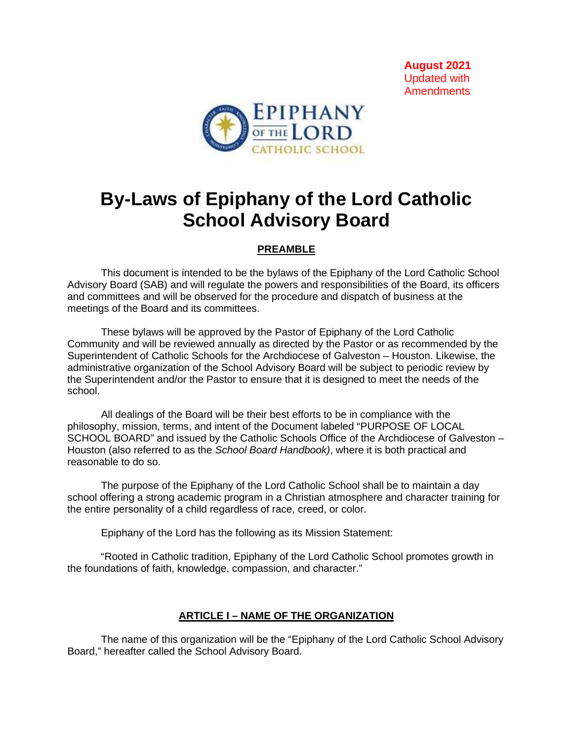**August 2021** Updated with **Amendments** 



## **By-Laws of Epiphany of the Lord Catholic School Advisory Board**

## **PREAMBLE**

This document is intended to be the bylaws of the Epiphany of the Lord Catholic School Advisory Board (SAB) and will regulate the powers and responsibilities of the Board, its officers and committees and will be observed for the procedure and dispatch of business at the meetings of the Board and its committees.

These bylaws will be approved by the Pastor of Epiphany of the Lord Catholic Community and will be reviewed annually as directed by the Pastor or as recommended by the Superintendent of Catholic Schools for the Archdiocese of Galveston – Houston. Likewise, the administrative organization of the School Advisory Board will be subject to periodic review by the Superintendent and/or the Pastor to ensure that it is designed to meet the needs of the school.

All dealings of the Board will be their best efforts to be in compliance with the philosophy, mission, terms, and intent of the Document labeled "PURPOSE OF LOCAL SCHOOL BOARD" and issued by the Catholic Schools Office of the Archdiocese of Galveston – Houston (also referred to as the *School Board Handbook)*, where it is both practical and reasonable to do so.

The purpose of the Epiphany of the Lord Catholic School shall be to maintain a day school offering a strong academic program in a Christian atmosphere and character training for the entire personality of a child regardless of race, creed, or color.

Epiphany of the Lord has the following as its Mission Statement:

"Rooted in Catholic tradition, Epiphany of the Lord Catholic School promotes growth in the foundations of faith, knowledge, compassion, and character."

## **ARTICLE I – NAME OF THE ORGANIZATION**

The name of this organization will be the "Epiphany of the Lord Catholic School Advisory Board," hereafter called the School Advisory Board.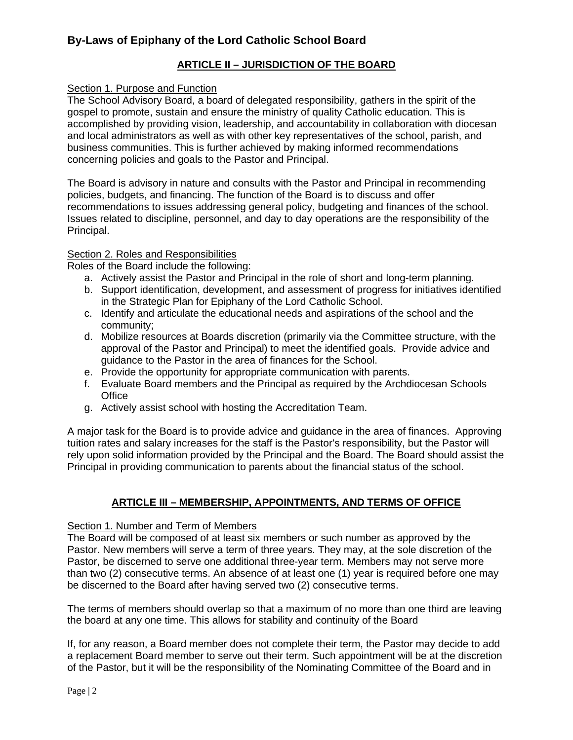## **ARTICLE II – JURISDICTION OF THE BOARD**

## Section 1. Purpose and Function

The School Advisory Board, a board of delegated responsibility, gathers in the spirit of the gospel to promote, sustain and ensure the ministry of quality Catholic education. This is accomplished by providing vision, leadership, and accountability in collaboration with diocesan and local administrators as well as with other key representatives of the school, parish, and business communities. This is further achieved by making informed recommendations concerning policies and goals to the Pastor and Principal.

The Board is advisory in nature and consults with the Pastor and Principal in recommending policies, budgets, and financing. The function of the Board is to discuss and offer recommendations to issues addressing general policy, budgeting and finances of the school. Issues related to discipline, personnel, and day to day operations are the responsibility of the Principal.

## Section 2. Roles and Responsibilities

Roles of the Board include the following:

- a. Actively assist the Pastor and Principal in the role of short and long-term planning.
- b. Support identification, development, and assessment of progress for initiatives identified in the Strategic Plan for Epiphany of the Lord Catholic School.
- c. Identify and articulate the educational needs and aspirations of the school and the community;
- d. Mobilize resources at Boards discretion (primarily via the Committee structure, with the approval of the Pastor and Principal) to meet the identified goals. Provide advice and guidance to the Pastor in the area of finances for the School.
- e. Provide the opportunity for appropriate communication with parents.
- f. Evaluate Board members and the Principal as required by the Archdiocesan Schools **Office**
- g. Actively assist school with hosting the Accreditation Team.

A major task for the Board is to provide advice and guidance in the area of finances. Approving tuition rates and salary increases for the staff is the Pastor's responsibility, but the Pastor will rely upon solid information provided by the Principal and the Board. The Board should assist the Principal in providing communication to parents about the financial status of the school.

## **ARTICLE III – MEMBERSHIP, APPOINTMENTS, AND TERMS OF OFFICE**

#### Section 1. Number and Term of Members

The Board will be composed of at least six members or such number as approved by the Pastor. New members will serve a term of three years. They may, at the sole discretion of the Pastor, be discerned to serve one additional three-year term. Members may not serve more than two (2) consecutive terms. An absence of at least one (1) year is required before one may be discerned to the Board after having served two (2) consecutive terms.

The terms of members should overlap so that a maximum of no more than one third are leaving the board at any one time. This allows for stability and continuity of the Board

If, for any reason, a Board member does not complete their term, the Pastor may decide to add a replacement Board member to serve out their term. Such appointment will be at the discretion of the Pastor, but it will be the responsibility of the Nominating Committee of the Board and in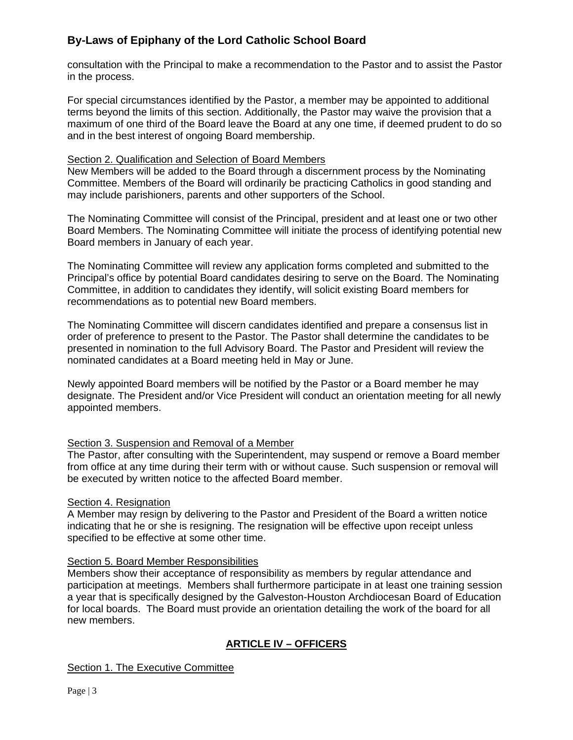consultation with the Principal to make a recommendation to the Pastor and to assist the Pastor in the process.

For special circumstances identified by the Pastor, a member may be appointed to additional terms beyond the limits of this section. Additionally, the Pastor may waive the provision that a maximum of one third of the Board leave the Board at any one time, if deemed prudent to do so and in the best interest of ongoing Board membership.

## Section 2. Qualification and Selection of Board Members

New Members will be added to the Board through a discernment process by the Nominating Committee. Members of the Board will ordinarily be practicing Catholics in good standing and may include parishioners, parents and other supporters of the School.

The Nominating Committee will consist of the Principal, president and at least one or two other Board Members. The Nominating Committee will initiate the process of identifying potential new Board members in January of each year.

The Nominating Committee will review any application forms completed and submitted to the Principal's office by potential Board candidates desiring to serve on the Board. The Nominating Committee, in addition to candidates they identify, will solicit existing Board members for recommendations as to potential new Board members.

The Nominating Committee will discern candidates identified and prepare a consensus list in order of preference to present to the Pastor. The Pastor shall determine the candidates to be presented in nomination to the full Advisory Board. The Pastor and President will review the nominated candidates at a Board meeting held in May or June.

Newly appointed Board members will be notified by the Pastor or a Board member he may designate. The President and/or Vice President will conduct an orientation meeting for all newly appointed members.

## Section 3. Suspension and Removal of a Member

The Pastor, after consulting with the Superintendent, may suspend or remove a Board member from office at any time during their term with or without cause. Such suspension or removal will be executed by written notice to the affected Board member.

## Section 4. Resignation

A Member may resign by delivering to the Pastor and President of the Board a written notice indicating that he or she is resigning. The resignation will be effective upon receipt unless specified to be effective at some other time.

## Section 5. Board Member Responsibilities

Members show their acceptance of responsibility as members by regular attendance and participation at meetings. Members shall furthermore participate in at least one training session a year that is specifically designed by the Galveston-Houston Archdiocesan Board of Education for local boards. The Board must provide an orientation detailing the work of the board for all new members.

## **ARTICLE IV – OFFICERS**

## Section 1. The Executive Committee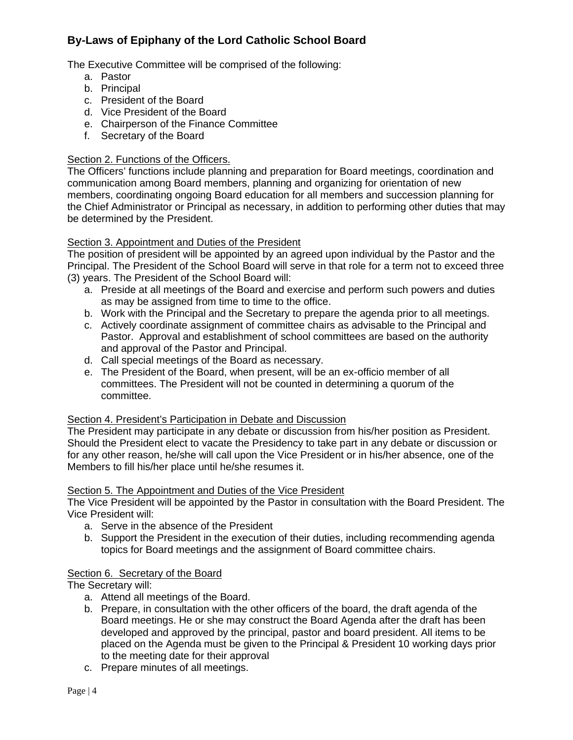The Executive Committee will be comprised of the following:

- a. Pastor
- b. Principal
- c. President of the Board
- d. Vice President of the Board
- e. Chairperson of the Finance Committee
- f. Secretary of the Board

#### Section 2. Functions of the Officers.

The Officers' functions include planning and preparation for Board meetings, coordination and communication among Board members, planning and organizing for orientation of new members, coordinating ongoing Board education for all members and succession planning for the Chief Administrator or Principal as necessary, in addition to performing other duties that may be determined by the President.

## Section 3. Appointment and Duties of the President

The position of president will be appointed by an agreed upon individual by the Pastor and the Principal. The President of the School Board will serve in that role for a term not to exceed three (3) years. The President of the School Board will:

- a. Preside at all meetings of the Board and exercise and perform such powers and duties as may be assigned from time to time to the office.
- b. Work with the Principal and the Secretary to prepare the agenda prior to all meetings.
- c. Actively coordinate assignment of committee chairs as advisable to the Principal and Pastor. Approval and establishment of school committees are based on the authority and approval of the Pastor and Principal.
- d. Call special meetings of the Board as necessary.
- e. The President of the Board, when present, will be an ex-officio member of all committees. The President will not be counted in determining a quorum of the committee.

#### Section 4. President's Participation in Debate and Discussion

The President may participate in any debate or discussion from his/her position as President. Should the President elect to vacate the Presidency to take part in any debate or discussion or for any other reason, he/she will call upon the Vice President or in his/her absence, one of the Members to fill his/her place until he/she resumes it.

#### Section 5. The Appointment and Duties of the Vice President

The Vice President will be appointed by the Pastor in consultation with the Board President. The Vice President will:

- a. Serve in the absence of the President
- b. Support the President in the execution of their duties, including recommending agenda topics for Board meetings and the assignment of Board committee chairs.

## Section 6. Secretary of the Board

The Secretary will:

- a. Attend all meetings of the Board.
- b. Prepare, in consultation with the other officers of the board, the draft agenda of the Board meetings. He or she may construct the Board Agenda after the draft has been developed and approved by the principal, pastor and board president. All items to be placed on the Agenda must be given to the Principal & President 10 working days prior to the meeting date for their approval
- c. Prepare minutes of all meetings.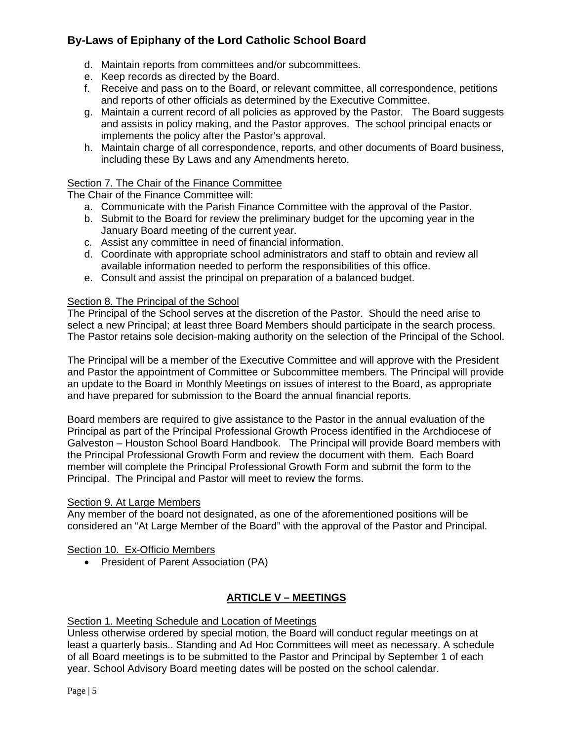- d. Maintain reports from committees and/or subcommittees.
- e. Keep records as directed by the Board.
- f. Receive and pass on to the Board, or relevant committee, all correspondence, petitions and reports of other officials as determined by the Executive Committee.
- g. Maintain a current record of all policies as approved by the Pastor. The Board suggests and assists in policy making, and the Pastor approves. The school principal enacts or implements the policy after the Pastor's approval.
- h. Maintain charge of all correspondence, reports, and other documents of Board business, including these By Laws and any Amendments hereto.

## Section 7. The Chair of the Finance Committee

The Chair of the Finance Committee will:

- a. Communicate with the Parish Finance Committee with the approval of the Pastor.
- b. Submit to the Board for review the preliminary budget for the upcoming year in the January Board meeting of the current year.
- c. Assist any committee in need of financial information.
- d. Coordinate with appropriate school administrators and staff to obtain and review all available information needed to perform the responsibilities of this office.
- e. Consult and assist the principal on preparation of a balanced budget.

#### Section 8. The Principal of the School

The Principal of the School serves at the discretion of the Pastor. Should the need arise to select a new Principal; at least three Board Members should participate in the search process. The Pastor retains sole decision-making authority on the selection of the Principal of the School.

The Principal will be a member of the Executive Committee and will approve with the President and Pastor the appointment of Committee or Subcommittee members. The Principal will provide an update to the Board in Monthly Meetings on issues of interest to the Board, as appropriate and have prepared for submission to the Board the annual financial reports.

Board members are required to give assistance to the Pastor in the annual evaluation of the Principal as part of the Principal Professional Growth Process identified in the Archdiocese of Galveston – Houston School Board Handbook. The Principal will provide Board members with the Principal Professional Growth Form and review the document with them. Each Board member will complete the Principal Professional Growth Form and submit the form to the Principal. The Principal and Pastor will meet to review the forms.

#### Section 9. At Large Members

Any member of the board not designated, as one of the aforementioned positions will be considered an "At Large Member of the Board" with the approval of the Pastor and Principal.

#### Section 10. Ex-Officio Members

• President of Parent Association (PA)

## **ARTICLE V – MEETINGS**

#### Section 1. Meeting Schedule and Location of Meetings

Unless otherwise ordered by special motion, the Board will conduct regular meetings on at least a quarterly basis.. Standing and Ad Hoc Committees will meet as necessary. A schedule of all Board meetings is to be submitted to the Pastor and Principal by September 1 of each year. School Advisory Board meeting dates will be posted on the school calendar.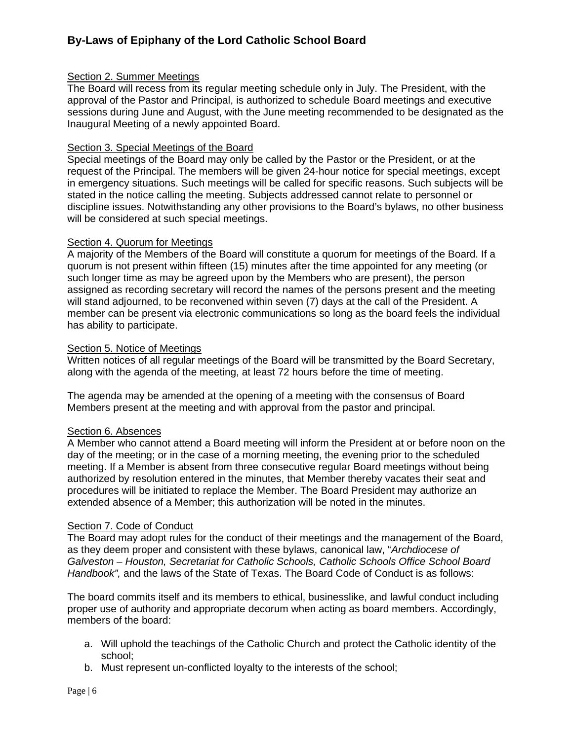#### Section 2. Summer Meetings

The Board will recess from its regular meeting schedule only in July. The President, with the approval of the Pastor and Principal, is authorized to schedule Board meetings and executive sessions during June and August, with the June meeting recommended to be designated as the Inaugural Meeting of a newly appointed Board.

#### Section 3. Special Meetings of the Board

Special meetings of the Board may only be called by the Pastor or the President, or at the request of the Principal. The members will be given 24-hour notice for special meetings, except in emergency situations. Such meetings will be called for specific reasons. Such subjects will be stated in the notice calling the meeting. Subjects addressed cannot relate to personnel or discipline issues. Notwithstanding any other provisions to the Board's bylaws, no other business will be considered at such special meetings.

#### Section 4. Quorum for Meetings

A majority of the Members of the Board will constitute a quorum for meetings of the Board. If a quorum is not present within fifteen (15) minutes after the time appointed for any meeting (or such longer time as may be agreed upon by the Members who are present), the person assigned as recording secretary will record the names of the persons present and the meeting will stand adjourned, to be reconvened within seven (7) days at the call of the President. A member can be present via electronic communications so long as the board feels the individual has ability to participate.

#### Section 5. Notice of Meetings

Written notices of all regular meetings of the Board will be transmitted by the Board Secretary, along with the agenda of the meeting, at least 72 hours before the time of meeting.

The agenda may be amended at the opening of a meeting with the consensus of Board Members present at the meeting and with approval from the pastor and principal.

#### Section 6. Absences

A Member who cannot attend a Board meeting will inform the President at or before noon on the day of the meeting; or in the case of a morning meeting, the evening prior to the scheduled meeting. If a Member is absent from three consecutive regular Board meetings without being authorized by resolution entered in the minutes, that Member thereby vacates their seat and procedures will be initiated to replace the Member. The Board President may authorize an extended absence of a Member; this authorization will be noted in the minutes.

#### Section 7. Code of Conduct

The Board may adopt rules for the conduct of their meetings and the management of the Board, as they deem proper and consistent with these bylaws, canonical law, "*Archdiocese of Galveston – Houston, Secretariat for Catholic Schools, Catholic Schools Office School Board Handbook",* and the laws of the State of Texas. The Board Code of Conduct is as follows:

The board commits itself and its members to ethical, businesslike, and lawful conduct including proper use of authority and appropriate decorum when acting as board members. Accordingly, members of the board:

- a. Will uphold the teachings of the Catholic Church and protect the Catholic identity of the school;
- b. Must represent un-conflicted loyalty to the interests of the school;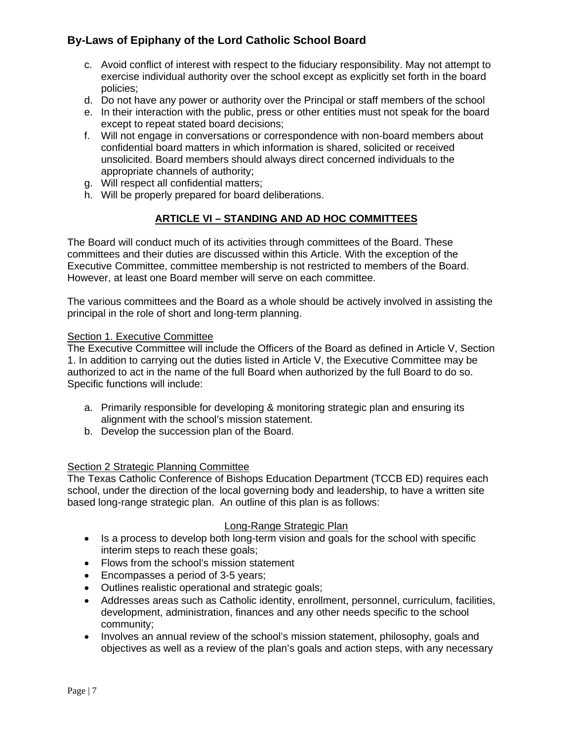- c. Avoid conflict of interest with respect to the fiduciary responsibility. May not attempt to exercise individual authority over the school except as explicitly set forth in the board policies;
- d. Do not have any power or authority over the Principal or staff members of the school
- e. In their interaction with the public, press or other entities must not speak for the board except to repeat stated board decisions;
- f. Will not engage in conversations or correspondence with non-board members about confidential board matters in which information is shared, solicited or received unsolicited. Board members should always direct concerned individuals to the appropriate channels of authority;
- g. Will respect all confidential matters;
- h. Will be properly prepared for board deliberations.

## **ARTICLE VI – STANDING AND AD HOC COMMITTEES**

The Board will conduct much of its activities through committees of the Board. These committees and their duties are discussed within this Article. With the exception of the Executive Committee, committee membership is not restricted to members of the Board. However, at least one Board member will serve on each committee.

The various committees and the Board as a whole should be actively involved in assisting the principal in the role of short and long-term planning.

#### Section 1. Executive Committee

The Executive Committee will include the Officers of the Board as defined in Article V, Section 1. In addition to carrying out the duties listed in Article V, the Executive Committee may be authorized to act in the name of the full Board when authorized by the full Board to do so. Specific functions will include:

- a. Primarily responsible for developing & monitoring strategic plan and ensuring its alignment with the school's mission statement.
- b. Develop the succession plan of the Board.

## Section 2 Strategic Planning Committee

The Texas Catholic Conference of Bishops Education Department (TCCB ED) requires each school, under the direction of the local governing body and leadership, to have a written site based long-range strategic plan. An outline of this plan is as follows:

## Long-Range Strategic Plan

- Is a process to develop both long-term vision and goals for the school with specific interim steps to reach these goals;
- Flows from the school's mission statement
- Encompasses a period of 3-5 years;
- Outlines realistic operational and strategic goals;
- Addresses areas such as Catholic identity, enrollment, personnel, curriculum, facilities, development, administration, finances and any other needs specific to the school community;
- Involves an annual review of the school's mission statement, philosophy, goals and objectives as well as a review of the plan's goals and action steps, with any necessary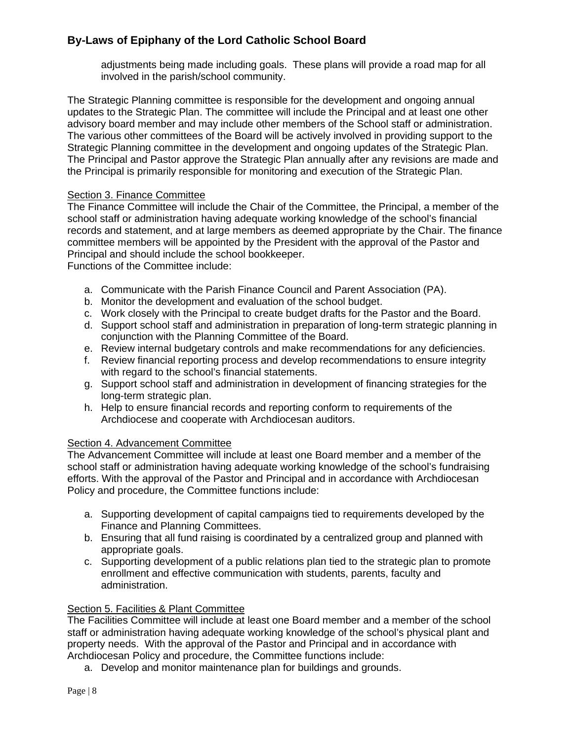adjustments being made including goals. These plans will provide a road map for all involved in the parish/school community.

The Strategic Planning committee is responsible for the development and ongoing annual updates to the Strategic Plan. The committee will include the Principal and at least one other advisory board member and may include other members of the School staff or administration. The various other committees of the Board will be actively involved in providing support to the Strategic Planning committee in the development and ongoing updates of the Strategic Plan. The Principal and Pastor approve the Strategic Plan annually after any revisions are made and the Principal is primarily responsible for monitoring and execution of the Strategic Plan.

## Section 3. Finance Committee

The Finance Committee will include the Chair of the Committee, the Principal, a member of the school staff or administration having adequate working knowledge of the school's financial records and statement, and at large members as deemed appropriate by the Chair. The finance committee members will be appointed by the President with the approval of the Pastor and Principal and should include the school bookkeeper.

Functions of the Committee include:

- a. Communicate with the Parish Finance Council and Parent Association (PA).
- b. Monitor the development and evaluation of the school budget.
- c. Work closely with the Principal to create budget drafts for the Pastor and the Board.
- d. Support school staff and administration in preparation of long-term strategic planning in conjunction with the Planning Committee of the Board.
- e. Review internal budgetary controls and make recommendations for any deficiencies.
- f. Review financial reporting process and develop recommendations to ensure integrity with regard to the school's financial statements.
- g. Support school staff and administration in development of financing strategies for the long-term strategic plan.
- h. Help to ensure financial records and reporting conform to requirements of the Archdiocese and cooperate with Archdiocesan auditors.

## Section 4. Advancement Committee

The Advancement Committee will include at least one Board member and a member of the school staff or administration having adequate working knowledge of the school's fundraising efforts. With the approval of the Pastor and Principal and in accordance with Archdiocesan Policy and procedure, the Committee functions include:

- a. Supporting development of capital campaigns tied to requirements developed by the Finance and Planning Committees.
- b. Ensuring that all fund raising is coordinated by a centralized group and planned with appropriate goals.
- c. Supporting development of a public relations plan tied to the strategic plan to promote enrollment and effective communication with students, parents, faculty and administration.

## Section 5. Facilities & Plant Committee

The Facilities Committee will include at least one Board member and a member of the school staff or administration having adequate working knowledge of the school's physical plant and property needs. With the approval of the Pastor and Principal and in accordance with Archdiocesan Policy and procedure, the Committee functions include:

a. Develop and monitor maintenance plan for buildings and grounds.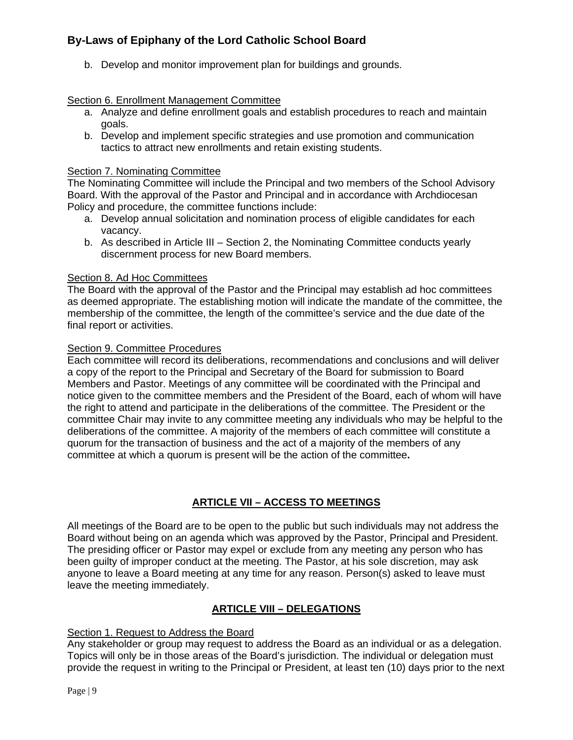b. Develop and monitor improvement plan for buildings and grounds.

## Section 6. Enrollment Management Committee

- a. Analyze and define enrollment goals and establish procedures to reach and maintain goals.
- b. Develop and implement specific strategies and use promotion and communication tactics to attract new enrollments and retain existing students.

## Section 7. Nominating Committee

The Nominating Committee will include the Principal and two members of the School Advisory Board. With the approval of the Pastor and Principal and in accordance with Archdiocesan Policy and procedure, the committee functions include:

- a. Develop annual solicitation and nomination process of eligible candidates for each vacancy.
- b. As described in Article III Section 2, the Nominating Committee conducts yearly discernment process for new Board members.

## Section 8. Ad Hoc Committees

The Board with the approval of the Pastor and the Principal may establish ad hoc committees as deemed appropriate. The establishing motion will indicate the mandate of the committee, the membership of the committee, the length of the committee's service and the due date of the final report or activities.

#### Section 9. Committee Procedures

Each committee will record its deliberations, recommendations and conclusions and will deliver a copy of the report to the Principal and Secretary of the Board for submission to Board Members and Pastor. Meetings of any committee will be coordinated with the Principal and notice given to the committee members and the President of the Board, each of whom will have the right to attend and participate in the deliberations of the committee. The President or the committee Chair may invite to any committee meeting any individuals who may be helpful to the deliberations of the committee. A majority of the members of each committee will constitute a quorum for the transaction of business and the act of a majority of the members of any committee at which a quorum is present will be the action of the committee**.**

## **ARTICLE VII – ACCESS TO MEETINGS**

All meetings of the Board are to be open to the public but such individuals may not address the Board without being on an agenda which was approved by the Pastor, Principal and President. The presiding officer or Pastor may expel or exclude from any meeting any person who has been guilty of improper conduct at the meeting. The Pastor, at his sole discretion, may ask anyone to leave a Board meeting at any time for any reason. Person(s) asked to leave must leave the meeting immediately.

## **ARTICLE VIII – DELEGATIONS**

## Section 1. Request to Address the Board

Any stakeholder or group may request to address the Board as an individual or as a delegation. Topics will only be in those areas of the Board's jurisdiction. The individual or delegation must provide the request in writing to the Principal or President, at least ten (10) days prior to the next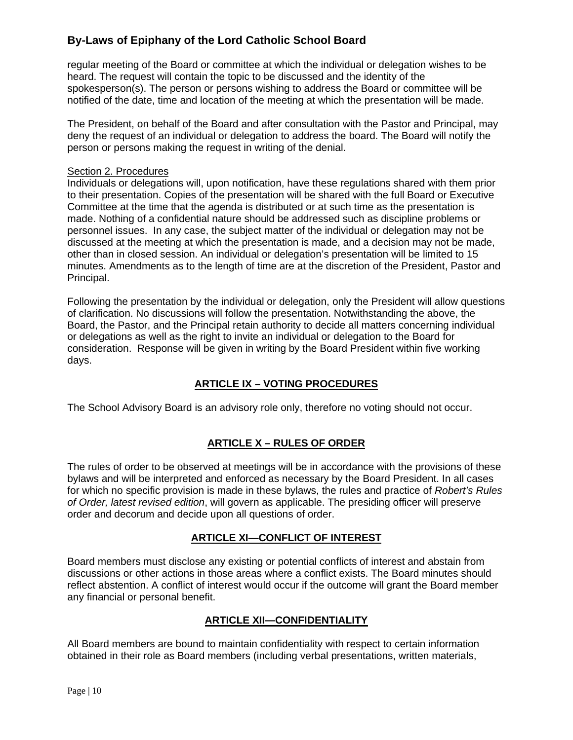regular meeting of the Board or committee at which the individual or delegation wishes to be heard. The request will contain the topic to be discussed and the identity of the spokesperson(s). The person or persons wishing to address the Board or committee will be notified of the date, time and location of the meeting at which the presentation will be made.

The President, on behalf of the Board and after consultation with the Pastor and Principal, may deny the request of an individual or delegation to address the board. The Board will notify the person or persons making the request in writing of the denial.

## Section 2. Procedures

Individuals or delegations will, upon notification, have these regulations shared with them prior to their presentation. Copies of the presentation will be shared with the full Board or Executive Committee at the time that the agenda is distributed or at such time as the presentation is made. Nothing of a confidential nature should be addressed such as discipline problems or personnel issues. In any case, the subject matter of the individual or delegation may not be discussed at the meeting at which the presentation is made, and a decision may not be made, other than in closed session. An individual or delegation's presentation will be limited to 15 minutes. Amendments as to the length of time are at the discretion of the President, Pastor and Principal.

Following the presentation by the individual or delegation, only the President will allow questions of clarification. No discussions will follow the presentation. Notwithstanding the above, the Board, the Pastor, and the Principal retain authority to decide all matters concerning individual or delegations as well as the right to invite an individual or delegation to the Board for consideration. Response will be given in writing by the Board President within five working days.

## **ARTICLE IX – VOTING PROCEDURES**

The School Advisory Board is an advisory role only, therefore no voting should not occur.

## **ARTICLE X – RULES OF ORDER**

The rules of order to be observed at meetings will be in accordance with the provisions of these bylaws and will be interpreted and enforced as necessary by the Board President. In all cases for which no specific provision is made in these bylaws, the rules and practice of *Robert's Rules of Order, latest revised edition*, will govern as applicable. The presiding officer will preserve order and decorum and decide upon all questions of order.

## **ARTICLE XI—CONFLICT OF INTEREST**

Board members must disclose any existing or potential conflicts of interest and abstain from discussions or other actions in those areas where a conflict exists. The Board minutes should reflect abstention. A conflict of interest would occur if the outcome will grant the Board member any financial or personal benefit.

## **ARTICLE XII—CONFIDENTIALITY**

All Board members are bound to maintain confidentiality with respect to certain information obtained in their role as Board members (including verbal presentations, written materials,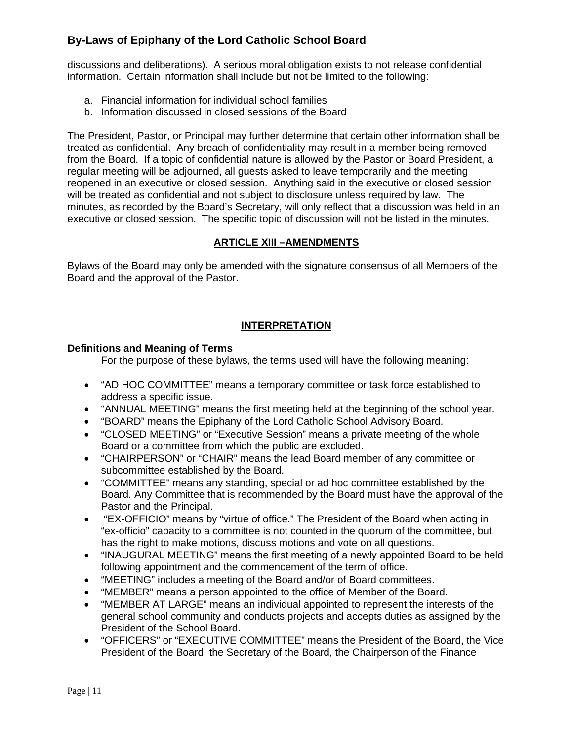discussions and deliberations). A serious moral obligation exists to not release confidential information. Certain information shall include but not be limited to the following:

- a. Financial information for individual school families
- b. Information discussed in closed sessions of the Board

The President, Pastor, or Principal may further determine that certain other information shall be treated as confidential. Any breach of confidentiality may result in a member being removed from the Board. If a topic of confidential nature is allowed by the Pastor or Board President, a regular meeting will be adjourned, all guests asked to leave temporarily and the meeting reopened in an executive or closed session. Anything said in the executive or closed session will be treated as confidential and not subject to disclosure unless required by law. The minutes, as recorded by the Board's Secretary, will only reflect that a discussion was held in an executive or closed session. The specific topic of discussion will not be listed in the minutes.

## **ARTICLE XIII –AMENDMENTS**

Bylaws of the Board may only be amended with the signature consensus of all Members of the Board and the approval of the Pastor.

## **INTERPRETATION**

## **Definitions and Meaning of Terms**

For the purpose of these bylaws, the terms used will have the following meaning:

- "AD HOC COMMITTEE" means a temporary committee or task force established to address a specific issue.
- "ANNUAL MEETING" means the first meeting held at the beginning of the school year.
- "BOARD" means the Epiphany of the Lord Catholic School Advisory Board.
- "CLOSED MEETING" or "Executive Session" means a private meeting of the whole Board or a committee from which the public are excluded.
- "CHAIRPERSON" or "CHAIR" means the lead Board member of any committee or subcommittee established by the Board.
- "COMMITTEE" means any standing, special or ad hoc committee established by the Board. Any Committee that is recommended by the Board must have the approval of the Pastor and the Principal.
- "EX-OFFICIO" means by "virtue of office." The President of the Board when acting in "ex-officio" capacity to a committee is not counted in the quorum of the committee, but has the right to make motions, discuss motions and vote on all questions.
- "INAUGURAL MEETING" means the first meeting of a newly appointed Board to be held following appointment and the commencement of the term of office.
- "MEETING" includes a meeting of the Board and/or of Board committees.
- "MEMBER" means a person appointed to the office of Member of the Board.
- "MEMBER AT LARGE" means an individual appointed to represent the interests of the general school community and conducts projects and accepts duties as assigned by the President of the School Board.
- "OFFICERS" or "EXECUTIVE COMMITTEE" means the President of the Board, the Vice President of the Board, the Secretary of the Board, the Chairperson of the Finance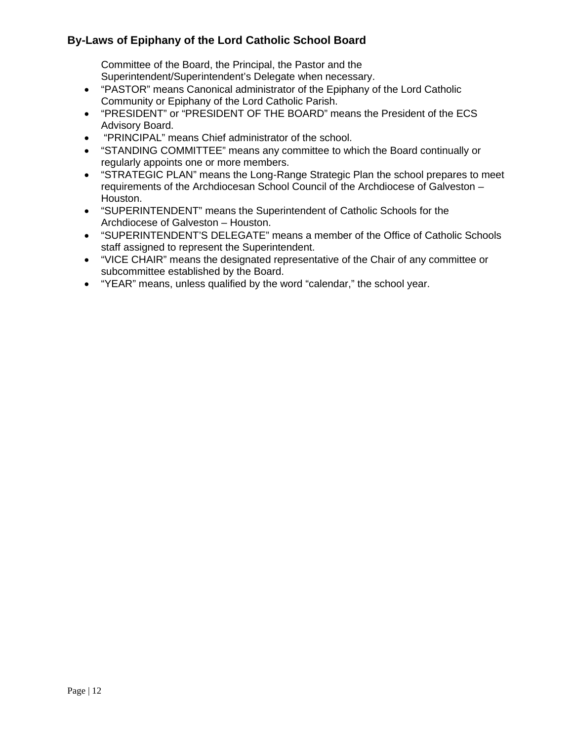Committee of the Board, the Principal, the Pastor and the Superintendent/Superintendent's Delegate when necessary.

- "PASTOR" means Canonical administrator of the Epiphany of the Lord Catholic Community or Epiphany of the Lord Catholic Parish.
- "PRESIDENT" or "PRESIDENT OF THE BOARD" means the President of the ECS Advisory Board.
- "PRINCIPAL" means Chief administrator of the school.
- "STANDING COMMITTEE" means any committee to which the Board continually or regularly appoints one or more members.
- "STRATEGIC PLAN" means the Long-Range Strategic Plan the school prepares to meet requirements of the Archdiocesan School Council of the Archdiocese of Galveston – Houston.
- "SUPERINTENDENT" means the Superintendent of Catholic Schools for the Archdiocese of Galveston – Houston.
- "SUPERINTENDENT'S DELEGATE" means a member of the Office of Catholic Schools staff assigned to represent the Superintendent.
- "VICE CHAIR" means the designated representative of the Chair of any committee or subcommittee established by the Board.
- "YEAR" means, unless qualified by the word "calendar," the school year.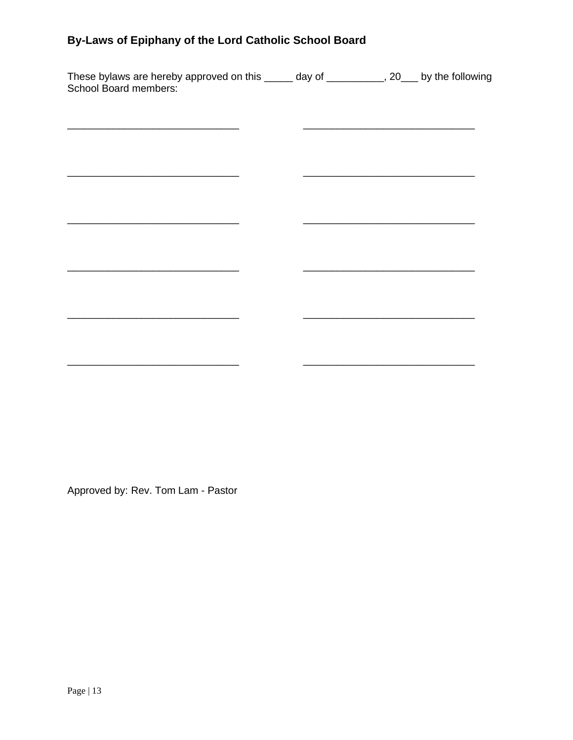| These bylaws are hereby approved on this _____ day of __________, 20___ by the following<br>School Board members: |  |  |
|-------------------------------------------------------------------------------------------------------------------|--|--|
|                                                                                                                   |  |  |
|                                                                                                                   |  |  |
|                                                                                                                   |  |  |
|                                                                                                                   |  |  |
|                                                                                                                   |  |  |
|                                                                                                                   |  |  |
|                                                                                                                   |  |  |
|                                                                                                                   |  |  |

Approved by: Rev. Tom Lam - Pastor